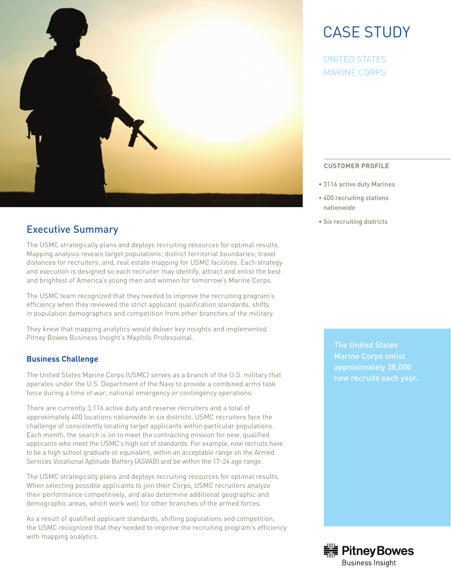

## Executive Summary

The USMC strategically plans and deploys recruiting resources for optimal results. Mapping analysis reveals target populations; district territorial boundaries; travel distances for recruiters; and, real estate mapping for USMC facilities. Each strategy and execution is designed so each recruiter may identify, attract and enlist the best and brightest of America's young men and women for tomorrow's Marine Corps.

The USMC team recognized that they needed to improve the recruiting program's efficiency when they reviewed the strict applicant qualification standards, shifts in population demographics and competition from other branches of the military.

They knew that mapping analytics would deliver key insights and implemented Pitney Bowes Business Insight's MapInfo Professional.

## **Business Challenge**

The United States Marine Corps (USMC) serves as a branch of the U.S. military that operates under the U.S. Department of the Navy to provide a combined arms task force during a time of war, national emergency or contingency operations.

There are currently 3,116 active duty and reserve recruiters and a total of approximately 400 locations nationwide in six districts. USMC recruiters face the challenge of consistently locating target applicants within particular populations. Each month, the search is on to meet the contracting mission for new, qualified applicants who meet the USMC's high set of standards. For example, new recruits have to be a high school graduate or equivalent, within an acceptable range on the Armed Services Vocational Aptitude Battery (ASVAB) and be within the 17-24 age range.

The USMC strategically plans and deploys recruiting resources for optimal results. When selecting possible applicants to join their Corps, USMC recruiters analyze their performance competitively, and also determine additional geographic and demographic areas, which work well for other branches of the armed forces.

As a result of qualified applicant standards, shifting populations and competition, the USMC recognized that they needed to improve the recruiting program's efficiency with mapping analytics.

# CASE STUDY

UNITED STATES MARINE CORPS

### **CUSTOMER PROFILE**

- 3116 active duty Marines
- 400 recruiting stations nationwide
- Six recruiting districts

The United States Marine Corps enlist approximately 38,000 new recruits each year.